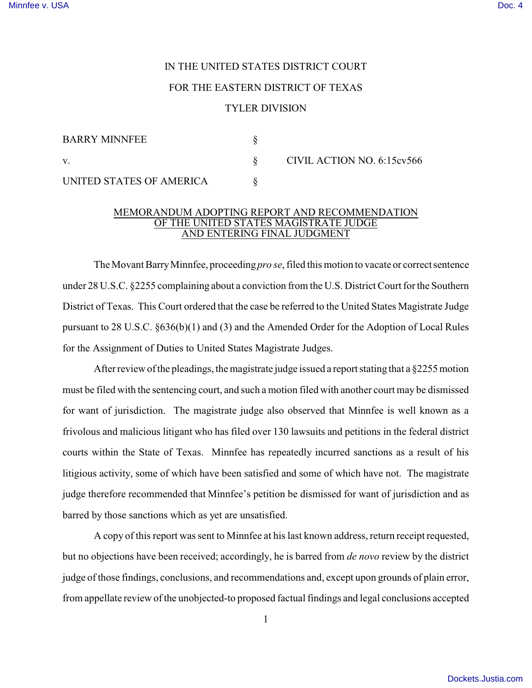## IN THE UNITED STATES DISTRICT COURT FOR THE EASTERN DISTRICT OF TEXAS TYLER DIVISION

| <b>BARRY MINNFEE</b>     |                            |
|--------------------------|----------------------------|
| V.                       | CIVIL ACTION NO. 6:15cv566 |
| UNITED STATES OF AMERICA |                            |

## MEMORANDUM ADOPTING REPORT AND RECOMMENDATION OF THE UNITED STATES MAGISTRATE JUDGE AND ENTERING FINAL JUDGMENT

The Movant Barry Minnfee, proceeding *pro se*, filed this motion to vacate or correct sentence under 28 U.S.C. §2255 complaining about a conviction from the U.S. District Court for the Southern District of Texas. This Court ordered that the case be referred to the United States Magistrate Judge pursuant to 28 U.S.C. §636(b)(1) and (3) and the Amended Order for the Adoption of Local Rules for the Assignment of Duties to United States Magistrate Judges.

After review of the pleadings, the magistrate judge issued a report stating that a §2255 motion must be filed with the sentencing court, and such a motion filed with another court may be dismissed for want of jurisdiction. The magistrate judge also observed that Minnfee is well known as a frivolous and malicious litigant who has filed over 130 lawsuits and petitions in the federal district courts within the State of Texas. Minnfee has repeatedly incurred sanctions as a result of his litigious activity, some of which have been satisfied and some of which have not. The magistrate judge therefore recommended that Minnfee's petition be dismissed for want of jurisdiction and as barred by those sanctions which as yet are unsatisfied.

A copy of this report was sent to Minnfee at his last known address, return receipt requested, but no objections have been received; accordingly, he is barred from *de novo* review by the district judge of those findings, conclusions, and recommendations and, except upon grounds of plain error, from appellate review of the unobjected-to proposed factual findings and legal conclusions accepted